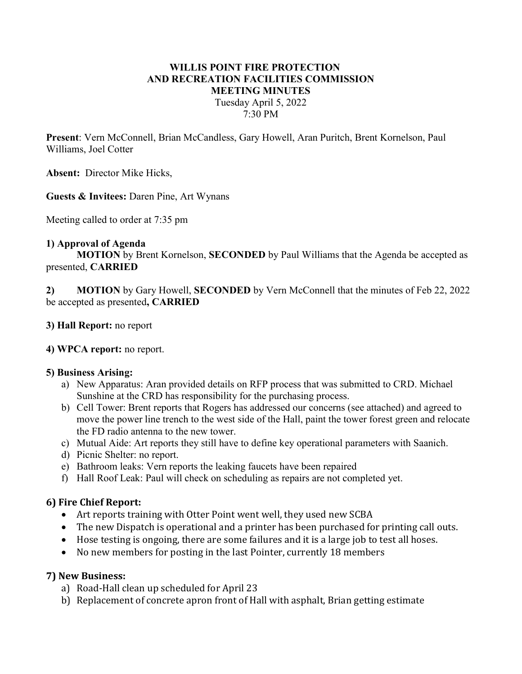# WILLIS POINT FIRE PROTECTION AND RECREATION FACILITIES COMMISSION MEETING MINUTES Tuesday April 5, 2022 7:30 PM

Present: Vern McConnell, Brian McCandless, Gary Howell, Aran Puritch, Brent Kornelson, Paul Williams, Joel Cotter

Absent: Director Mike Hicks,

Guests & Invitees: Daren Pine, Art Wynans

Meeting called to order at 7:35 pm

#### 1) Approval of Agenda

MOTION by Brent Kornelson, SECONDED by Paul Williams that the Agenda be accepted as presented, CARRIED

2) MOTION by Gary Howell, SECONDED by Vern McConnell that the minutes of Feb 22, 2022 be accepted as presented, CARRIED

### 3) Hall Report: no report

#### 4) WPCA report: no report.

#### 5) Business Arising:

- a) New Apparatus: Aran provided details on RFP process that was submitted to CRD. Michael Sunshine at the CRD has responsibility for the purchasing process.
- b) Cell Tower: Brent reports that Rogers has addressed our concerns (see attached) and agreed to move the power line trench to the west side of the Hall, paint the tower forest green and relocate the FD radio antenna to the new tower.
- c) Mutual Aide: Art reports they still have to define key operational parameters with Saanich.
- d) Picnic Shelter: no report.
- e) Bathroom leaks: Vern reports the leaking faucets have been repaired
- f) Hall Roof Leak: Paul will check on scheduling as repairs are not completed yet.

## 6) Fire Chief Report:

- Art reports training with Otter Point went well, they used new SCBA
- The new Dispatch is operational and a printer has been purchased for printing call outs.
- Hose testing is ongoing, there are some failures and it is a large job to test all hoses.
- No new members for posting in the last Pointer, currently 18 members

## 7) New Business:

- a) Road-Hall clean up scheduled for April 23
- b) Replacement of concrete apron front of Hall with asphalt, Brian getting estimate